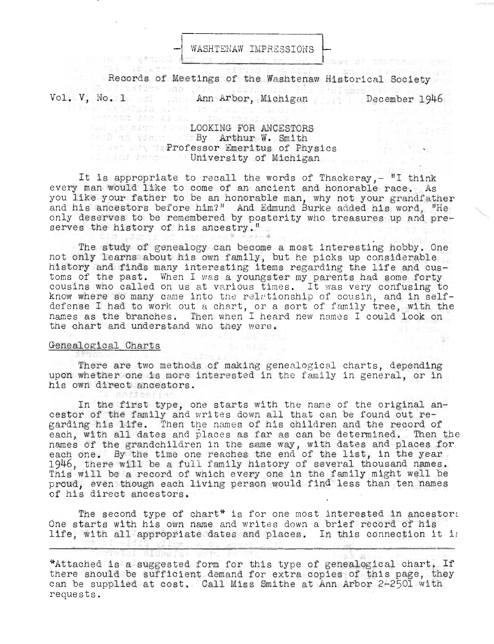WASHTENAW IMPRESSIONS

Records of Meetings of the Washtenaw Historical Society Vol. V, No. 1 Ann Arbor, Michigan December 1946

**LOOKING FOR ANCESTORS By Arthur W. Smith Professor Emeritus of Physics Elist Michigan** University of Michigan

Wandala dispe to Jena ra husulo y

SAM CAN JON al 21

It is appropriate to recall the words of Thackeray, $-$  "I think every man would like to come of an ancient and honorable race. As you like your father to be an honorable man, why not your grandfather and his ancestors before him?" And Edmund Burke added his word, "He only deserves to be remembered by posterity who treasures up and pre-<br>serves the history of his ancestry."

The study of genealogy can become a most interesting hobby. One not only learns about his own family, but he picks up considerable history and finds many interesting items regarding the life and cusitstory and finds many interesting items regarding the life and cus-<br>oms of the past. When I was a voungster my parents had some forty oms of the past. When 1 was a youngster my parents had some forty<br>ousins who called on us at various times. It was very confusing to know where so many came into the relationship of cousin, and in selfdefense I had to work out a chart, or a sort of family tree, with the names as the branches. Then when I heard new names I could look on the chart and understand who they were.

## Genealogical Charts

There are two methods of making genealogical charts, depending upon whether one is more interested in the family in general, or in his own direct ancestors.

In the first type, one starts with the name of the original ancestor of the family and writes down all that can be found out regarding his life. Then the names of his children and the record of each, with all dates and places as far as can be determined. Then the names of the grandchildren in the same way, with dates and places for each one. By the time one reaches the end of the list, in the year 1946, there will be a full family history of several thousand names. This will be a record of which every one in the family might well be proud, even though each living person would find less than ten names of his direct ancestors.

The second type of chart\* is for one most interested in ancestor. One starts with his own name and writes down a brief record of his life, with all appropriate dates and places. In this connection it is

<sup>\*</sup>Attached is a suggested form for this type of genealogical chart. If there should be sufficient demand for extra copies of this page, they can be supplied at cost. Call Miss Smithe at Ann Arbor 2-2501 with requests.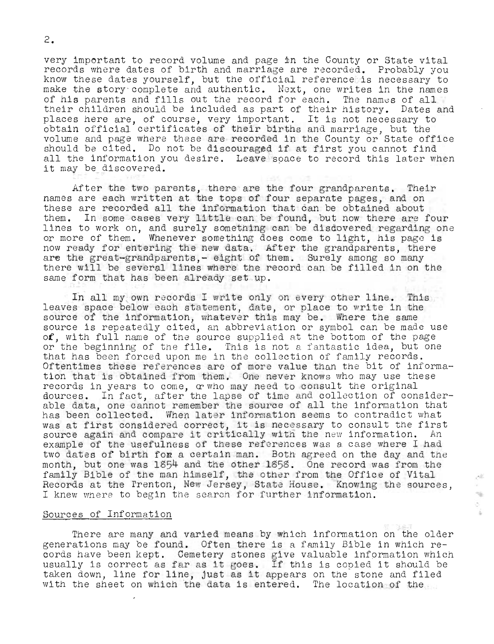very important to record volume and page in the County or State vital records where dates of birth and marriage are recorded. Probably you know these dates yourself, but the official reference is necessary to make the story complete and authentic. Next, one writes in the names of his parents and fills out the record for each. The names of all their children should be included as part of their history. Dates and their children should be included as part of their history. Dates a<br>places here are, of course, very important. It is not necessary to praces here are, or course, very important. It is not necessary to<br>obtain official certificates of their births and marriage, but the volume and page where these are recorded in the County or State office should be cited. Do not be discouraged if at first you cannot find all the information you desire. Leave soace to record this later when it may be discovered.

After the two parents, there are the four grandparents. Their names are each written at the tops of four separate pages, and on these are recorded all the information that can be obtained about them. In some cases very little can be found, but now there are four lines to work on, and surely something can be disdovered regarding one or more of them. Whenever some thing does come to light, his pago is now ready for entering the new data. After the grandparents, there are the great-grandparents, - eight of them. Surely among so many there will be several lines where the record can be filled in on the same form that has been already set up.

In all my own records I write only on every other line. This leaves space below each statement, date, or place to write in the source of the information, whatever this may be. Where the same source is repeatedly cited, an abbreviation or symbol can be made use of, with full name of the source supplied at the bottom of the page or the beginning of the file. This is not a fantastic idea, but one that has been forced upon me in the collection of family records. Oftentimes these references are of more value than the bit of information that is obtained from them. One never knows who may use these records in years to come,  $\alpha$  who may need to consult the original dources. In fact, after the lapse of time and collection of considerable data, one cannot remember the source of all the information that has been collected. When later information seems to contradict what nas been collected. when later information seems to contradict what<br>was at first considered correct, it is necessary to consult the first was at first considered correct, it is necessary to consult the firs<br>source again and compare it critically with the new information. An example of the usefulness of these references was a case where I had two dates of birth for a certain man. Both agreed on the day and the month, but one was 1854 and the other 1858 . One record was from the family Bible of the man himself, the other from the Office of Vital Records at the Trenton, New Jersey, State House. Knowing the sources, I knew where to begin the search for further information.

## Sources of Information

There are many and varied means by which information on the older generations may be found. Often there is a family Bible in which records have been kept. Cemetery stones give valuable information which usually is correct as far as it goes. If this is copied it should be taken down, line for line, just as it appears on the stone and filed with the sheet on which the data is entered. The location of the

市 ÷.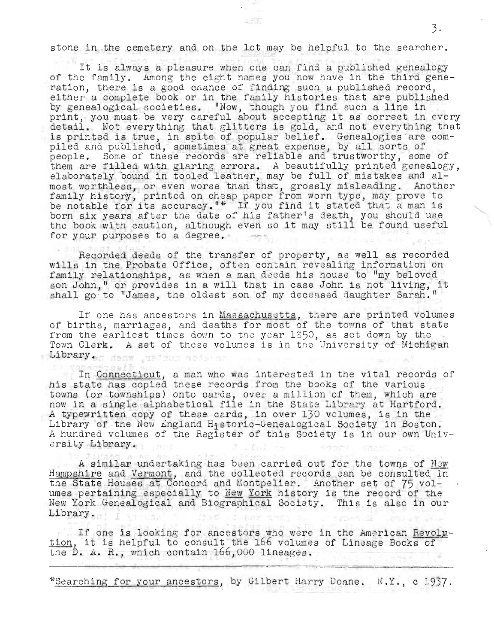stone in the cemetery and on the lot may be helpful to the searcher.

It is always a pleasure when one can find a published genealogy of the family. Among the eight names you now have in the third gene ration, there is a good chance of finding such a published record, either a complete book or in the family histories that are published by genealogical societies. "Now, though you find such a line in print, you must be very careful about accepting it as correct in every detail. Not everything that glitters is gold, and not everything that istall. Not every uning that gritters is goid, and not every uning that<br>is printed is true, in spite of popular belief. Genealogies are compiled and published, sometimes at great expense , by all sorts of people. Some of these records are reliable and trustworthy, some of edpie. Some of these records are reflable and trustworthy, some of<br>them are filled with glaring errors. A beautifully printed genealogy,<br>elaborately bound in tooled leather, may be full of mistakes and aleiaborately bound in tooled leather, may be full of mistakes and al-<br>most worthless, or even worse than that, grossly misleading. Another family history, printed on cheap paper from worn type, may prove to ramily history, printed on cheap paper from worn type, may prove to<br>be notable for its accuracy."\* If you find it stated that a man is be hotable for fits accuracy. If you find to stated that a man is<br>born six years after the date of his father's death, you should use born six years after the date of his father's death, you should use<br>the book with caution, although even so it may still be found useful for your purposes to a degree.

Recorded deeds of the transfer of property, as well as recorded wills in the Probate Office, often contain revealing information on family relationships, as when a man deeds his house to "my beloved son John," or provides in a will that in case John is not living, it shall go to "James, the oldest son of my deceased daughter Sarah.

If one has ancestors in Massachusetts, there are printed volumes of births, marriages, and deaths for most of the towns of that state from the earliest times down to the year 1850, as set down by the Town Clerk. A set of these volumes is in the University of Michigan Library. Henw water notated

In Connecticut, a man who was interested in the vital records of his state has copied tnese records from the books of the various towns (or townships) onto cards, over a million of them, which are now in a single alphabetical file in the State Library at Hartford. A typewritten copy of these cards, in over  $130$  volumes, is in the Library of the New England Historic-Genealogical Society in Boston. A hundred volumes of the Register of this Society is in our own University Library.

A similar undertaking has been carried out for the towns of New Hampshire and Vermont, and the collected records can be consulted in iampshire and <u>vermont</u>, and the collected records can be consulted i<br>the State Houses at Concord and Montpelier. Another set of 75 volune beate houses at concord and montperier. Another set of  $\gamma$  voi-<br>umes pertaining especially to <u>New York</u> history is the record of the New York Genealogical and Biographical Society. This is also in our Library.

If one is looking for ancestors who were in the American Revolution, it is helpful to consult the 166 volumes of Lineage Books of the D. A. R., which contain 166,000 lineages.

\*Searching for your ancestors, by Gilbert Harry Doane. N.Y., c 1937.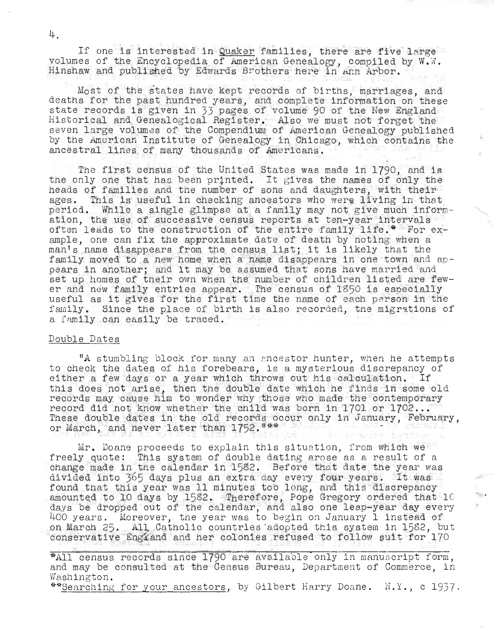If one is interested in Quaker families, there are five large volumes of the Encyclopedia of American Genealogy, compiled by W.W. Hinshaw and published by Edwards Brothers here in Ann Arbor.

Most of the states have kept records of births, marriages, and deaths for the past hundred years, and complete information on these state records is given in 33 pages of volume 90 of the New England Historical and Genealogical Register. Also we must not forge t the seven large volumes of the Compendium of American Genealogy published by the American Institute of Genealogy in Chicago, which contains the ancestral lines of many thousands of Americans.

The first census of the United States was made in 1790, and is the only one that has been printed. It gives the names of only the heads of families and the number of sons and daughters, with their ages. This is useful in checking ancestors who were living in that period. While a single glimpse at a family may not give much inform-<br>ation, the use of successive census reports at ten-year intervals often leads to the construction of the entire family life.\* For  $ex$ ample, one can fix the approximate date of death by noting when a man's name disappears from the census list; it is likely that the family moved to a new home when a name disappears in one town and apfamily moved to a new home when a name disappears in one town and ap-<br>pears in another; and it may be assumed that sons have married and pears in another; and it may be assumed that sons have married and<br>set up homes of their own when the number of children listed are fewer and new family entries appear. The census of 1850 is especially useful as it gives for the first time the name of each person in the family. Since the place of birth is also recorded, the migrations of a family can easily be traced.

## Double Dates

"A stumbling block for many an ancestor hunter, when he attempts to check the dates of his forebears, is a mysterious discrepancy of either a few days or a year which throws out his calculation. If this does not arise, then the double date which he finds in some old records may cause him to wonder why those who made the contemporary records may cause film to wonder why those who made the contemporant record did not know whether the child was born in 1701 or 1702... These double dates in the old records occur only in January, February, or March, and never later than 1752. "\*\*

Mr. Doane proceeds to explain this situation, from which we freely quote: This system of double dating arose as a result of a change made in the calendar in  $1582$ . Before that date the year was onange made in the calendar in 1982. Before that date the year was<br>divided into 365 days plus an extra day every four years. It was found that this year was 11 minutes too long, and this discrepancy amounted to 10 days by 1582. Therefore, Pope Gregory ordered that IC days be dropped out of the calendar, and also one leap-year day every 400 years. Moreover, the year was to begin on January 1 instead of or years. Moreover, the year was to begin on canaary I finstead or onservative Engzand and her colonies refused to follow suit for 170

\*All census records since 1790 are available only in manuscript form, and may be consulted at the Census Bureau, Department of Commerce, in Washington.

\*\*Searching for your ancestors, by Gilbert Harry Doane. N.Y., c 1937.

4.